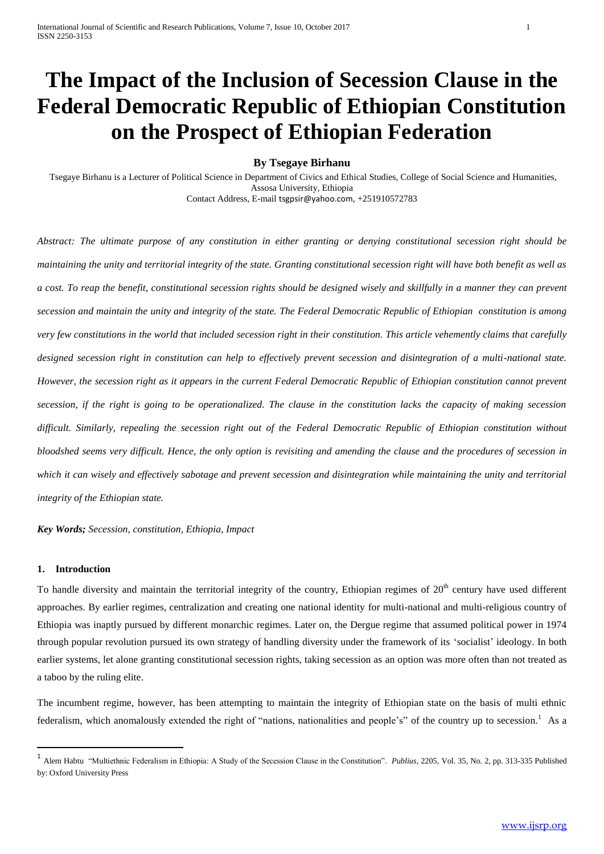# **The Impact of the Inclusion of Secession Clause in the Federal Democratic Republic of Ethiopian Constitution on the Prospect of Ethiopian Federation**

## **By Tsegaye Birhanu**

Tsegaye Birhanu is a Lecturer of Political Science in Department of Civics and Ethical Studies, College of Social Science and Humanities, Assosa University, Ethiopia Contact Address, E-mail [tsgpsir@yahoo.com](mailto:tsgpsir@yahoo.com), +251910572783

*Abstract: The ultimate purpose of any constitution in either granting or denying constitutional secession right should be maintaining the unity and territorial integrity of the state. Granting constitutional secession right will have both benefit as well as a cost. To reap the benefit, constitutional secession rights should be designed wisely and skillfully in a manner they can prevent secession and maintain the unity and integrity of the state. The Federal Democratic Republic of Ethiopian constitution is among very few constitutions in the world that included secession right in their constitution. This article vehemently claims that carefully designed secession right in constitution can help to effectively prevent secession and disintegration of a multi-national state. However, the secession right as it appears in the current Federal Democratic Republic of Ethiopian constitution cannot prevent secession, if the right is going to be operationalized. The clause in the constitution lacks the capacity of making secession difficult. Similarly, repealing the secession right out of the Federal Democratic Republic of Ethiopian constitution without bloodshed seems very difficult. Hence, the only option is revisiting and amending the clause and the procedures of secession in which it can wisely and effectively sabotage and prevent secession and disintegration while maintaining the unity and territorial integrity of the Ethiopian state.*

*Key Words; Secession, constitution, Ethiopia, Impact*

### **1. Introduction**

**.** 

To handle diversity and maintain the territorial integrity of the country, Ethiopian regimes of  $20<sup>th</sup>$  century have used different approaches. By earlier regimes, centralization and creating one national identity for multi-national and multi-religious country of Ethiopia was inaptly pursued by different monarchic regimes. Later on, the Dergue regime that assumed political power in 1974 through popular revolution pursued its own strategy of handling diversity under the framework of its 'socialist' ideology. In both earlier systems, let alone granting constitutional secession rights, taking secession as an option was more often than not treated as a taboo by the ruling elite.

The incumbent regime, however, has been attempting to maintain the integrity of Ethiopian state on the basis of multi ethnic federalism, which anomalously extended the right of "nations, nationalities and people's" of the country up to secession.<sup>1</sup> As a

<sup>1</sup> Alem Habtu "Multiethnic Federalism in Ethiopia: A Study of the Secession Clause in the Constitution". *Publius*, 2205, Vol. 35, No. 2, pp. 313-335 Published by: Oxford University Press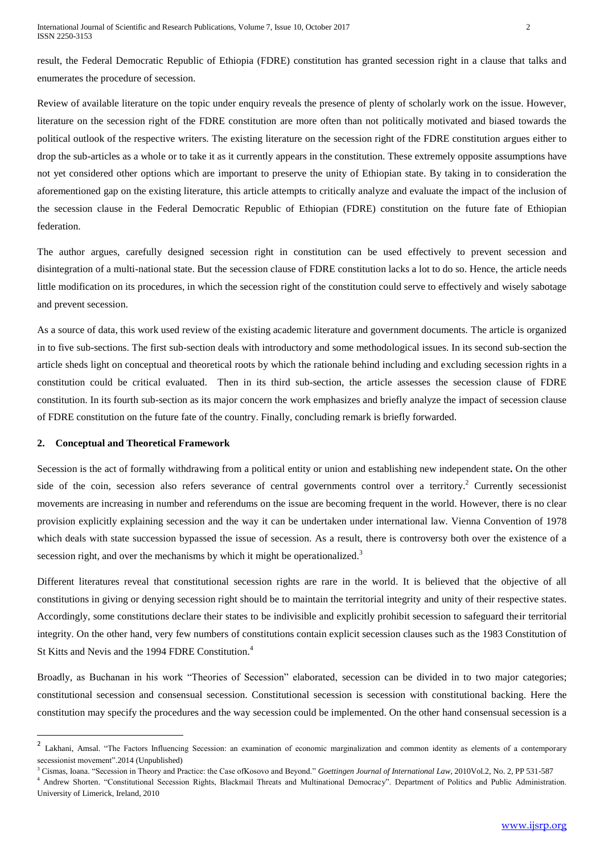result, the Federal Democratic Republic of Ethiopia (FDRE) constitution has granted secession right in a clause that talks and enumerates the procedure of secession.

Review of available literature on the topic under enquiry reveals the presence of plenty of scholarly work on the issue. However, literature on the secession right of the FDRE constitution are more often than not politically motivated and biased towards the political outlook of the respective writers. The existing literature on the secession right of the FDRE constitution argues either to drop the sub-articles as a whole or to take it as it currently appears in the constitution. These extremely opposite assumptions have not yet considered other options which are important to preserve the unity of Ethiopian state. By taking in to consideration the aforementioned gap on the existing literature, this article attempts to critically analyze and evaluate the impact of the inclusion of the secession clause in the Federal Democratic Republic of Ethiopian (FDRE) constitution on the future fate of Ethiopian federation.

The author argues, carefully designed secession right in constitution can be used effectively to prevent secession and disintegration of a multi-national state. But the secession clause of FDRE constitution lacks a lot to do so. Hence, the article needs little modification on its procedures, in which the secession right of the constitution could serve to effectively and wisely sabotage and prevent secession.

As a source of data, this work used review of the existing academic literature and government documents. The article is organized in to five sub-sections. The first sub-section deals with introductory and some methodological issues. In its second sub-section the article sheds light on conceptual and theoretical roots by which the rationale behind including and excluding secession rights in a constitution could be critical evaluated. Then in its third sub-section, the article assesses the secession clause of FDRE constitution. In its fourth sub-section as its major concern the work emphasizes and briefly analyze the impact of secession clause of FDRE constitution on the future fate of the country. Finally, concluding remark is briefly forwarded.

## **2. Conceptual and Theoretical Framework**

Secession is the act of formally withdrawing from a political entity or union and establishing new independent state**.** On the other side of the coin, secession also refers severance of central governments control over a territory.<sup>2</sup> Currently secessionist movements are increasing in number and referendums on the issue are becoming frequent in the world. However, there is no clear provision explicitly explaining secession and the way it can be undertaken under international law. Vienna Convention of 1978 which deals with state succession bypassed the issue of secession. As a result, there is controversy both over the existence of a secession right, and over the mechanisms by which it might be operationalized.<sup>3</sup>

Different literatures reveal that constitutional secession rights are rare in the world. It is believed that the objective of all constitutions in giving or denying secession right should be to maintain the territorial integrity and unity of their respective states. Accordingly, some constitutions declare their states to be indivisible and explicitly prohibit secession to safeguard their territorial integrity. On the other hand, very few numbers of constitutions contain explicit secession clauses such as the 1983 Constitution of St Kitts and Nevis and the 1994 FDRE Constitution. 4

Broadly, as Buchanan in his work "Theories of Secession" elaborated, secession can be divided in to two major categories; constitutional secession and consensual secession. Constitutional secession is secession with constitutional backing. Here the constitution may specify the procedures and the way secession could be implemented. On the other hand consensual secession is a

THE TE SECT AMS THE SECT THE FACTORS INTURNIES THE TERM CONTROLLER THE TERM INTERTATION AND RET THE FACTORS OF A CONTEMPORARY secessionist movement".2014 (Unpublished)

<sup>3</sup> Cismas, Ioana. "Secession in Theory and Practice: the Case ofKosovo and Beyond." *Goettingen Journal of International Law*, 2010Vol.2, No. 2, PP 531-587

<sup>4</sup> Andrew Shorten. "Constitutional Secession Rights, Blackmail Threats and Multinational Democracy". Department of Politics and Public Administration. University of Limerick, Ireland, 2010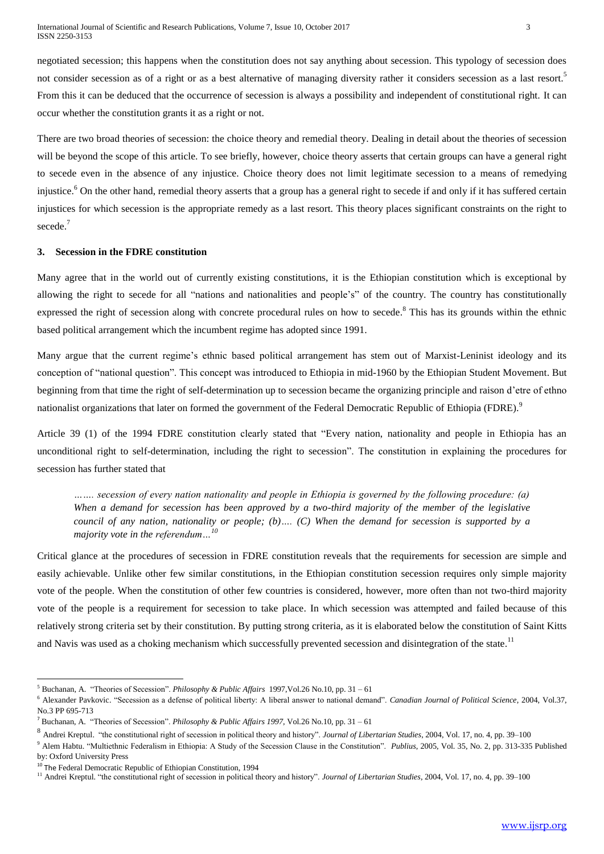negotiated secession; this happens when the constitution does not say anything about secession. This typology of secession does not consider secession as of a right or as a best alternative of managing diversity rather it considers secession as a last resort.<sup>5</sup> From this it can be deduced that the occurrence of secession is always a possibility and independent of constitutional right. It can occur whether the constitution grants it as a right or not.

There are two broad theories of secession: the choice theory and remedial theory. Dealing in detail about the theories of secession will be beyond the scope of this article. To see briefly, however, choice theory asserts that certain groups can have a general right to secede even in the absence of any injustice. Choice theory does not limit legitimate secession to a means of remedying injustice.<sup>6</sup> On the other hand, remedial theory asserts that a group has a general right to secede if and only if it has suffered certain injustices for which secession is the appropriate remedy as a last resort. This theory places significant constraints on the right to secede. 7

# **3. Secession in the FDRE constitution**

Many agree that in the world out of currently existing constitutions, it is the Ethiopian constitution which is exceptional by allowing the right to secede for all "nations and nationalities and people's" of the country. The country has constitutionally expressed the right of secession along with concrete procedural rules on how to secede.<sup>8</sup> This has its grounds within the ethnic based political arrangement which the incumbent regime has adopted since 1991.

Many argue that the current regime's ethnic based political arrangement has stem out of Marxist-Leninist ideology and its conception of "national question". This concept was introduced to Ethiopia in mid-1960 by the Ethiopian Student Movement. But beginning from that time the right of self-determination up to secession became the organizing principle and raison d'etre of ethno nationalist organizations that later on formed the government of the Federal Democratic Republic of Ethiopia (FDRE).<sup>9</sup>

Article 39 (1) of the 1994 FDRE constitution clearly stated that "Every nation, nationality and people in Ethiopia has an unconditional right to self-determination, including the right to secession". The constitution in explaining the procedures for secession has further stated that

*……. secession of every nation nationality and people in Ethiopia is governed by the following procedure: (a) When a demand for secession has been approved by a two-third majority of the member of the legislative council of any nation, nationality or people; (b)…. (C) When the demand for secession is supported by a majority vote in the referendum…<sup>10</sup>*

Critical glance at the procedures of secession in FDRE constitution reveals that the requirements for secession are simple and easily achievable. Unlike other few similar constitutions, in the Ethiopian constitution secession requires only simple majority vote of the people. When the constitution of other few countries is considered, however, more often than not two-third majority vote of the people is a requirement for secession to take place. In which secession was attempted and failed because of this relatively strong criteria set by their constitution. By putting strong criteria, as it is elaborated below the constitution of Saint Kitts and Navis was used as a choking mechanism which successfully prevented secession and disintegration of the state.<sup>11</sup>

**<sup>.</sup>** <sup>5</sup> Buchanan, A. "Theories of Secession". *Philosophy & Public Affairs* 1997,Vol.26 No.10, pp. 31 – 61

<sup>6</sup> Alexander Pavkovic. "Secession as a defense of political liberty: A liberal answer to national demand". *Canadian Journal of Political Science*, 2004, Vol.37, No.3 PP 695-713

<sup>7</sup> Buchanan, A. "Theories of Secession". *Philosophy & Public Affairs 1997,* Vol.26 No.10, pp. 31 – 61

<sup>8</sup> Andrei Kreptul. "the constitutional right of secession in political theory and history". *Journal of Libertarian Studies*, 2004, Vol. 17, no. 4, pp. 39–100

<sup>9</sup> Alem Habtu. "Multiethnic Federalism in Ethiopia: A Study of the Secession Clause in the Constitution". *Publius*, 2005, Vol. 35, No. 2, pp. 313-335 Published by: Oxford University Press

<sup>&</sup>lt;sup>10</sup> The Federal Democratic Republic of Ethiopian Constitution, 1994

<sup>&</sup>lt;sup>11</sup> Andrei Kreptul. "the constitutional right of secession in political theory and history". *Journal of Libertarian Studies*, 2004, Vol. 17, no. 4, pp. 39–100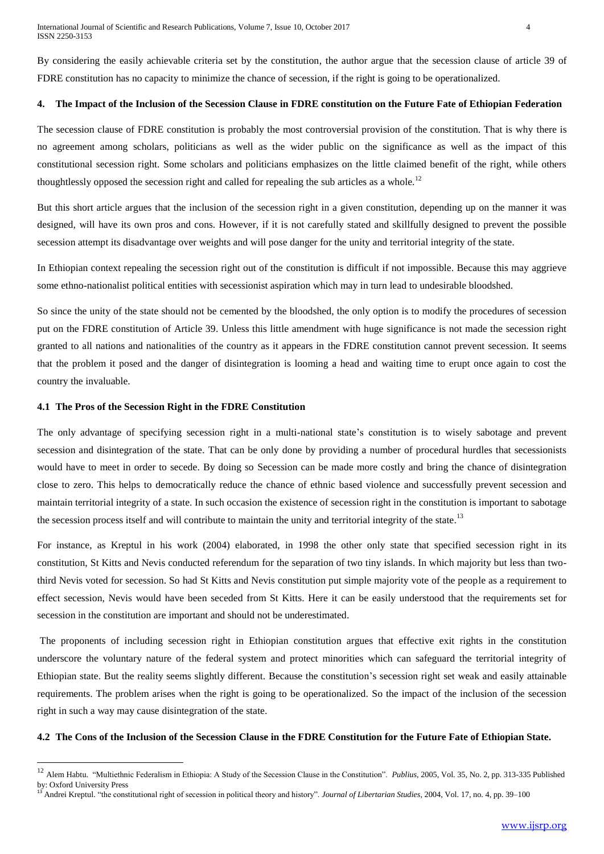By considering the easily achievable criteria set by the constitution, the author argue that the secession clause of article 39 of FDRE constitution has no capacity to minimize the chance of secession, if the right is going to be operationalized.

## **4. The Impact of the Inclusion of the Secession Clause in FDRE constitution on the Future Fate of Ethiopian Federation**

The secession clause of FDRE constitution is probably the most controversial provision of the constitution. That is why there is no agreement among scholars, politicians as well as the wider public on the significance as well as the impact of this constitutional secession right. Some scholars and politicians emphasizes on the little claimed benefit of the right, while others thoughtlessly opposed the secession right and called for repealing the sub articles as a whole.<sup>12</sup>

But this short article argues that the inclusion of the secession right in a given constitution, depending up on the manner it was designed, will have its own pros and cons. However, if it is not carefully stated and skillfully designed to prevent the possible secession attempt its disadvantage over weights and will pose danger for the unity and territorial integrity of the state.

In Ethiopian context repealing the secession right out of the constitution is difficult if not impossible. Because this may aggrieve some ethno-nationalist political entities with secessionist aspiration which may in turn lead to undesirable bloodshed.

So since the unity of the state should not be cemented by the bloodshed, the only option is to modify the procedures of secession put on the FDRE constitution of Article 39. Unless this little amendment with huge significance is not made the secession right granted to all nations and nationalities of the country as it appears in the FDRE constitution cannot prevent secession. It seems that the problem it posed and the danger of disintegration is looming a head and waiting time to erupt once again to cost the country the invaluable.

# **4.1 The Pros of the Secession Right in the FDRE Constitution**

**.** 

The only advantage of specifying secession right in a multi-national state's constitution is to wisely sabotage and prevent secession and disintegration of the state. That can be only done by providing a number of procedural hurdles that secessionists would have to meet in order to secede. By doing so Secession can be made more costly and bring the chance of disintegration close to zero. This helps to democratically reduce the chance of ethnic based violence and successfully prevent secession and maintain territorial integrity of a state. In such occasion the existence of secession right in the constitution is important to sabotage the secession process itself and will contribute to maintain the unity and territorial integrity of the state.<sup>13</sup>

For instance, as Kreptul in his work (2004) elaborated, in 1998 the other only state that specified secession right in its constitution, St Kitts and Nevis conducted referendum for the separation of two tiny islands. In which majority but less than twothird Nevis voted for secession. So had St Kitts and Nevis constitution put simple majority vote of the people as a requirement to effect secession, Nevis would have been seceded from St Kitts. Here it can be easily understood that the requirements set for secession in the constitution are important and should not be underestimated.

The proponents of including secession right in Ethiopian constitution argues that effective exit rights in the constitution underscore the voluntary nature of the federal system and protect minorities which can safeguard the territorial integrity of Ethiopian state. But the reality seems slightly different. Because the constitution's secession right set weak and easily attainable requirements. The problem arises when the right is going to be operationalized. So the impact of the inclusion of the secession right in such a way may cause disintegration of the state.

## **4.2 The Cons of the Inclusion of the Secession Clause in the FDRE Constitution for the Future Fate of Ethiopian State.**

<sup>12</sup> Alem Habtu. "Multiethnic Federalism in Ethiopia: A Study of the Secession Clause in the Constitution". *Publius*, 2005, Vol. 35, No. 2, pp. 313-335 Published by: Oxford University Press

<sup>13</sup> Andrei Kreptul. "the constitutional right of secession in political theory and history". *Journal of Libertarian Studies*, 2004, Vol. 17, no. 4, pp. 39–100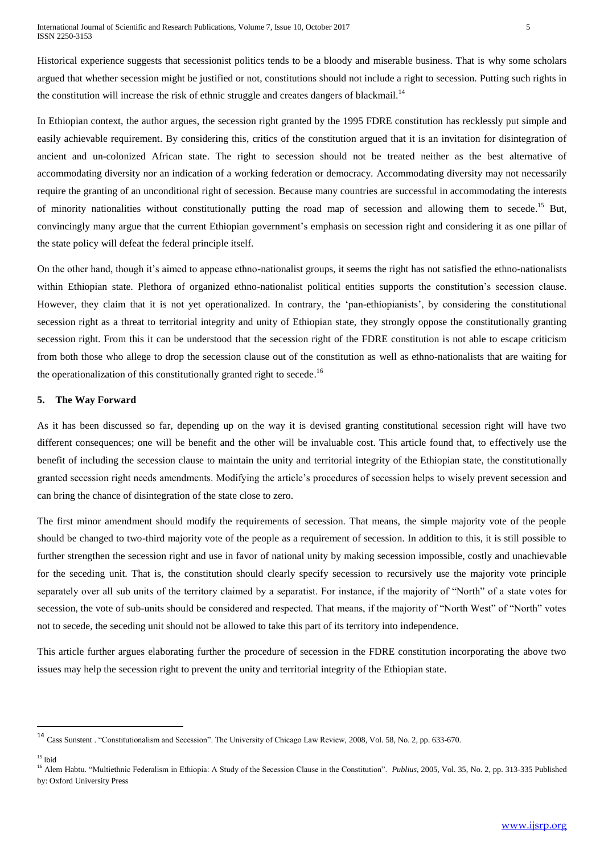Historical experience suggests that secessionist politics tends to be a bloody and miserable business. That is why some scholars argued that whether secession might be justified or not, constitutions should not include a right to secession. Putting such rights in the constitution will increase the risk of ethnic struggle and creates dangers of blackmail.<sup>14</sup>

In Ethiopian context, the author argues, the secession right granted by the 1995 FDRE constitution has recklessly put simple and easily achievable requirement. By considering this, critics of the constitution argued that it is an invitation for disintegration of ancient and un-colonized African state. The right to secession should not be treated neither as the best alternative of accommodating diversity nor an indication of a working federation or democracy. Accommodating diversity may not necessarily require the granting of an unconditional right of secession. Because many countries are successful in accommodating the interests of minority nationalities without constitutionally putting the road map of secession and allowing them to secede.<sup>15</sup> But, convincingly many argue that the current Ethiopian government's emphasis on secession right and considering it as one pillar of the state policy will defeat the federal principle itself.

On the other hand, though it's aimed to appease ethno-nationalist groups, it seems the right has not satisfied the ethno-nationalists within Ethiopian state. Plethora of organized ethno-nationalist political entities supports the constitution's secession clause. However, they claim that it is not yet operationalized. In contrary, the 'pan-ethiopianists', by considering the constitutional secession right as a threat to territorial integrity and unity of Ethiopian state, they strongly oppose the constitutionally granting secession right. From this it can be understood that the secession right of the FDRE constitution is not able to escape criticism from both those who allege to drop the secession clause out of the constitution as well as ethno-nationalists that are waiting for the operationalization of this constitutionally granted right to secede.<sup>16</sup>

## **5. The Way Forward**

As it has been discussed so far, depending up on the way it is devised granting constitutional secession right will have two different consequences; one will be benefit and the other will be invaluable cost. This article found that, to effectively use the benefit of including the secession clause to maintain the unity and territorial integrity of the Ethiopian state, the constitutionally granted secession right needs amendments. Modifying the article's procedures of secession helps to wisely prevent secession and can bring the chance of disintegration of the state close to zero.

The first minor amendment should modify the requirements of secession. That means, the simple majority vote of the people should be changed to two-third majority vote of the people as a requirement of secession. In addition to this, it is still possible to further strengthen the secession right and use in favor of national unity by making secession impossible, costly and unachievable for the seceding unit. That is, the constitution should clearly specify secession to recursively use the majority vote principle separately over all sub units of the territory claimed by a separatist. For instance, if the majority of "North" of a state votes for secession, the vote of sub-units should be considered and respected. That means, if the majority of "North West" of "North" votes not to secede, the seceding unit should not be allowed to take this part of its territory into independence.

This article further argues elaborating further the procedure of secession in the FDRE constitution incorporating the above two issues may help the secession right to prevent the unity and territorial integrity of the Ethiopian state.

**.** 

<sup>14</sup> Cass Sunstent . "Constitutionalism and Secession". The University of Chicago Law Review, 2008, Vol. 58, No. 2, pp. 633-670.

 $15$  Ibid

<sup>&</sup>lt;sup>16</sup> Alem Habtu. "Multiethnic Federalism in Ethiopia: A Study of the Secession Clause in the Constitution". Publius, 2005, Vol. 35, No. 2, pp. 313-335 Published by: Oxford University Press